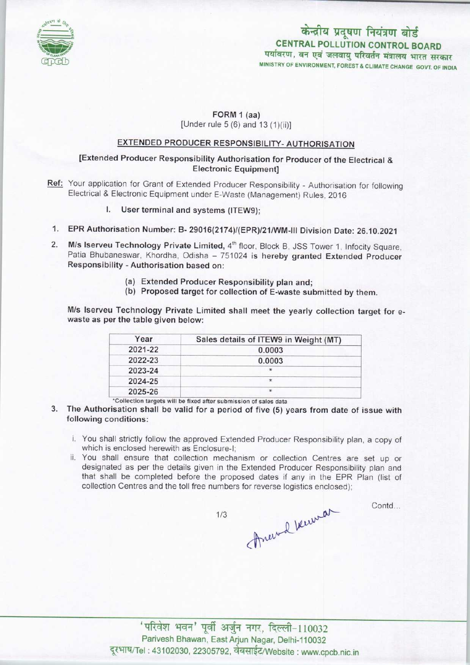

# केन्द्रीय प्रदूषण नियंत्रण बोर्ड CENTRAL POLLUTION CONTROL BOARD<br>पर्यावरण, वन एवं जलवायु परिवर्तन मंत्रालय भारत सरकार MINISTRY OF ENVIRONMENT, FOREST S CLIMATE CHANGE GOVT. OF INDIA

# FORM 1 (aa)

[Under rule 5 (6) and 13 (1)(ii)]

## EXTENDED PRODUCER RESPONSIBILITY-AUTHORISATION

### [Extended Producer Responsibility Authorisation for Producer of the Electrical & Electronic Equipment]

- Ref: Your application for Grant of Extended Producer Responsibility Authorisation for following Electrical & Electronic Equipment under E-Waste (Management) Rules, 2016
	- I. User terminal and systems (ITEW9);
- 1.EPR Authorisation Number: B- 29016(2174)/(EPR)/21/WM-lll Division Date: 26.10.2021
- 2. M/s Iserveu Technology Private Limited, 4<sup>th</sup> floor, Block B, JSS Tower 1, Infocity Square, Patia Bhubaneswar, Khordha, Odisha - 751024 is hereby granted Extended Producer Responsibility - Authorisation based on:
	- (a)Extended Producer Responsibility plan and;
	- (b) Proposed target for collection of E-waste submitted by them.

M/s Iserveu Technology Private Limited shall meet the yearly collection target for ewaste as per the table given below:

| Year    | Sales details of ITEW9 in Weight (MT) |
|---------|---------------------------------------|
| 2021-22 | 0.0003                                |
| 2022-23 | 0.0003                                |
| 2023-24 |                                       |
| 2024-25 | $\star$                               |
| 2025-26 | $\star$                               |

'Collection targets will be fixed after submission of sales data

- 3. The Authorisation shall be valid for a period of five (5) years from date of issue with following conditions:
	- i. You shall strictly follow the approved Extended Producer Responsibility plan, a copy of which is enclosed herewith as Enclosure-I;
	- ii. You shall ensure that collection mechanism or collection Centres are set up or designated as per the details given in the Extended Producer Responsibility plan and that shall be completed before the proposed dates if any in the EPR Plan (list of collection Centres and the toll free numbers for reverse logistics enclosed);

Anewal because

 $1/3$ 

Contd...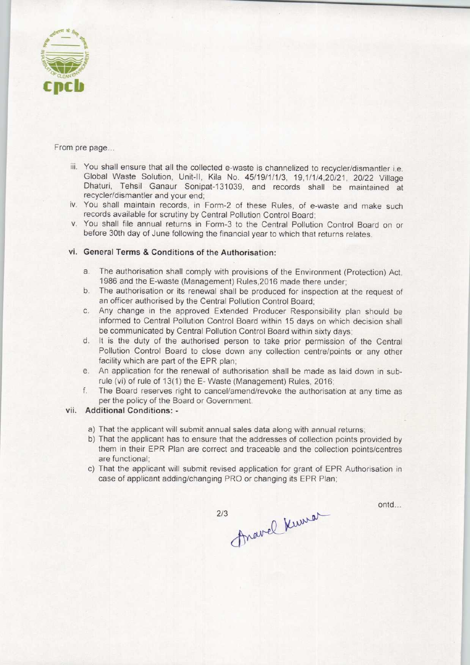

From pre page...

- iii. You shall ensure that all the collected e-waste is channelized to recycler/dismantler i.e. Global Waste Solution, Unit-ll, Kila No. 45/19/1/1/3, 19,1/1/4,20/21, 20/22 Village Dhaturi, Tehsil Ganaur Sonipat-131039, and records shall be maintained at recycler/dismantler and your end;
- iv. You shall maintain records, in Form-2 of these Rules, of e-waste and make such records available for scrutiny by Central Pollution Control Board;
- v. You shall file annual returns in Form-3 to the Central Pollution Control Board on or before 30th day of June following the financial year to which that returns relates.

#### vi. General Terms & Conditions of the Authorisation:

- a.The authorisation shall comply with provisions of the Environment (Protection) Act, 1986 and the E-waste (Management) Rules,2016 made there under;
- b. The authorisation or its renewal shall be produced for inspection at the request of an officer authorised by the Central Pollution Control Board;
- c.Any change in the approved Extended Producer Responsibility plan should be informed to Central Pollution Control Board within 15 days on which decision shall be communicated by Central Pollution Control Board within sixty days;
- d. It is the duty of the authorised person to take prior permission of the Central Pollution Control Board to close down any collection centre/points or any other facility which are part of the EPR plan;
- e.An application for the renewal of authorisation shall be made as laid down in subrule (vi) of rule of 13(1) the E-Waste (Management) Rules, 2016;
- f. The Board reserves right to cancel/amend/revoke the authorisation at any time as per the policy of the Board or Government.

#### vii. Additional Conditions: -

- a)That the applicant will submit annual sales data along with annual returns;
- b)That the applicant has to ensure that the addresses of collection points provided by them in their EPR Plan are correct and traceable and the collection points/centres are functional;
- c) That the applicant will submit revised application for grant of EPR Authorisation in case of applicant adding/changing PRO or changing its EPR Plan;

Fravel Kumor  $2/3$ 

ontd...